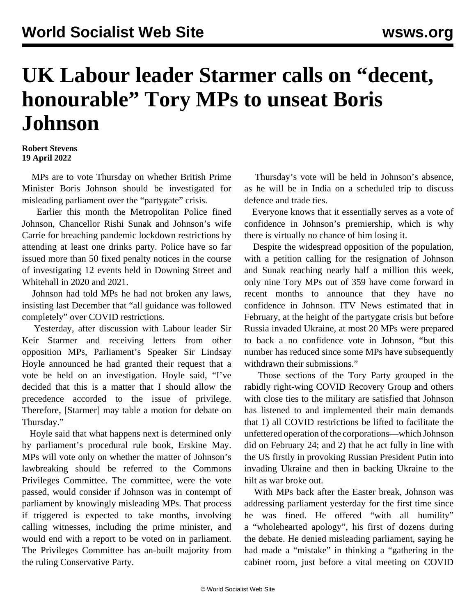## **UK Labour leader Starmer calls on "decent, honourable" Tory MPs to unseat Boris Johnson**

## **Robert Stevens 19 April 2022**

 MPs are to vote Thursday on whether British Prime Minister Boris Johnson should be investigated for misleading parliament over the "partygate" crisis.

 Earlier this month the Metropolitan Police fined Johnson, Chancellor Rishi Sunak and Johnson's wife Carrie for breaching pandemic lockdown restrictions by attending at least one drinks party. Police have so far issued more than 50 fixed penalty notices in the course of investigating 12 events held in Downing Street and Whitehall in 2020 and 2021.

 Johnson had told MPs he had not broken any laws, insisting last December that "all guidance was followed completely" over COVID restrictions.

 Yesterday, after discussion with Labour leader Sir Keir Starmer and receiving letters from other opposition MPs, Parliament's Speaker Sir Lindsay Hoyle announced he had granted their request that a vote be held on an investigation. Hoyle said, "I've decided that this is a matter that I should allow the precedence accorded to the issue of privilege. Therefore, [Starmer] may table a motion for debate on Thursday."

 Hoyle said that what happens next is determined only by parliament's procedural rule book, Erskine May. MPs will vote only on whether the matter of Johnson's lawbreaking should be referred to the Commons Privileges Committee. The committee, were the vote passed, would consider if Johnson was in contempt of parliament by knowingly misleading MPs. That process if triggered is expected to take months, involving calling witnesses, including the prime minister, and would end with a report to be voted on in parliament. The Privileges Committee has an-built majority from the ruling Conservative Party.

 Thursday's vote will be held in Johnson's absence, as he will be in India on a scheduled trip to discuss defence and trade ties.

 Everyone knows that it essentially serves as a vote of confidence in Johnson's premiership, which is why there is virtually no chance of him losing it.

 Despite the widespread opposition of the population, with a petition calling for the resignation of Johnson and Sunak reaching nearly half a million this week, only nine Tory MPs out of 359 have come forward in recent months to announce that they have no confidence in Johnson. ITV News estimated that in February, at the height of the partygate crisis but before Russia invaded Ukraine, at most 20 MPs were prepared to back a no confidence vote in Johnson, "but this number has reduced since some MPs have subsequently withdrawn their submissions."

 Those sections of the Tory Party grouped in the rabidly right-wing COVID Recovery Group and others with close ties to the military are satisfied that Johnson has listened to and implemented their main demands that 1) all COVID restrictions be lifted to facilitate the unfettered operation of the corporations—which Johnson did on February 24; and 2) that he act fully in line with the US firstly in provoking Russian President Putin into invading Ukraine and then in backing Ukraine to the hilt as war broke out.

 With MPs back after the Easter break, Johnson was addressing parliament yesterday for the first time since he was fined. He offered "with all humility" a "wholehearted apology", his first of dozens during the debate. He denied misleading parliament, saying he had made a "mistake" in thinking a "gathering in the cabinet room, just before a vital meeting on COVID